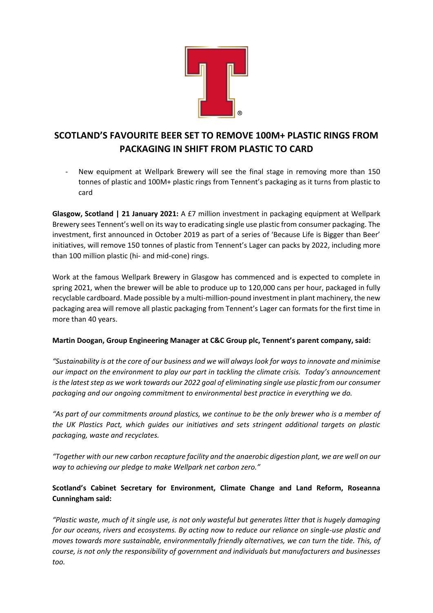

# **SCOTLAND'S FAVOURITE BEER SET TO REMOVE 100M+ PLASTIC RINGS FROM PACKAGING IN SHIFT FROM PLASTIC TO CARD**

New equipment at Wellpark Brewery will see the final stage in removing more than 150 tonnes of plastic and 100M+ plastic rings from Tennent's packaging as it turns from plastic to card

**Glasgow, Scotland | 21 January 2021:** A £7 million investment in packaging equipment at Wellpark Brewery sees Tennent's well on its way to eradicating single use plastic from consumer packaging. The investment, first announced in October 2019 as part of a series of 'Because Life is Bigger than Beer' initiatives, will remove 150 tonnes of plastic from Tennent's Lager can packs by 2022, including more than 100 million plastic (hi- and mid-cone) rings.

Work at the famous Wellpark Brewery in Glasgow has commenced and is expected to complete in spring 2021, when the brewer will be able to produce up to 120,000 cans per hour, packaged in fully recyclable cardboard. Made possible by a multi-million-pound investment in plant machinery, the new packaging area will remove all plastic packaging from Tennent's Lager can formats for the first time in more than 40 years.

# **Martin Doogan, Group Engineering Manager at C&C Group plc, Tennent's parent company, said:**

*"Sustainability is at the core of our business and we will always look for ways to innovate and minimise our impact on the environment to play our part in tackling the climate crisis. Today's announcement is the latest step as we work towards our 2022 goal of eliminating single use plastic from our consumer packaging and our ongoing commitment to environmental best practice in everything we do.* 

*"As part of our commitments around plastics, we continue to be the only brewer who is a member of the UK Plastics Pact, which guides our initiatives and sets stringent additional targets on plastic packaging, waste and recyclates.*

*"Together with our new carbon recapture facility and the anaerobic digestion plant, we are well on our way to achieving our pledge to make Wellpark net carbon zero."*

# **Scotland's Cabinet Secretary for Environment, Climate Change and Land Reform, Roseanna Cunningham said:**

*"Plastic waste, much of it single use, is not only wasteful but generates litter that is hugely damaging for our oceans, rivers and ecosystems. By acting now to reduce our reliance on single-use plastic and moves towards more sustainable, environmentally friendly alternatives, we can turn the tide. This, of course, is not only the responsibility of government and individuals but manufacturers and businesses too.*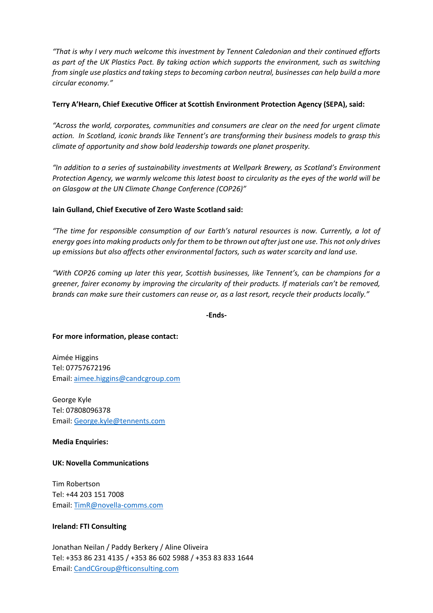*"That is why I very much welcome this investment by Tennent Caledonian and their continued efforts as part of the UK Plastics Pact. By taking action which supports the environment, such as switching from single use plastics and taking steps to becoming carbon neutral, businesses can help build a more circular economy."*

## **Terry A'Hearn, Chief Executive Officer at Scottish Environment Protection Agency (SEPA), said:**

*"Across the world, corporates, communities and consumers are clear on the need for urgent climate action. In Scotland, iconic brands like Tennent's are transforming their business models to grasp this climate of opportunity and show bold leadership towards one planet prosperity.*

*"In addition to a series of sustainability investments at Wellpark Brewery, as Scotland's Environment Protection Agency, we warmly welcome this latest boost to circularity as the eyes of the world will be on Glasgow at the UN Climate Change Conference (COP26)"*

## **Iain Gulland, Chief Executive of Zero Waste Scotland said:**

*"The time for responsible consumption of our Earth's natural resources is now. Currently, a lot of energy goes into making products only for them to be thrown out after just one use. This not only drives up emissions but also affects other environmental factors, such as water scarcity and land use.* 

*"With COP26 coming up later this year, Scottish businesses, like Tennent's, can be champions for a greener, fairer economy by improving the circularity of their products. If materials can't be removed, brands can make sure their customers can reuse or, as a last resort, recycle their products locally."*

**-Ends-**

#### **For more information, please contact:**

Aimée Higgins Tel: 07757672196 Email: [aimee.higgins@candcgroup.com](mailto:aimee.higgins@candcgroup.com)

George Kyle Tel: 07808096378 Email: [George.kyle@tennents.com](mailto:George.kyle@tennents.com)

#### **Media Enquiries:**

#### **UK: Novella Communications**

Tim Robertson Tel: +44 203 151 7008 Email: [TimR@novella-comms.com](mailto:TimR@novella-comms.com)

#### **Ireland: FTI Consulting**

Jonathan Neilan / Paddy Berkery / Aline Oliveira Tel: +353 86 231 4135 / +353 86 602 5988 / +353 83 833 1644 Email: [CandCGroup@fticonsulting.com](mailto:CandCGroup@fticonsulting.com)